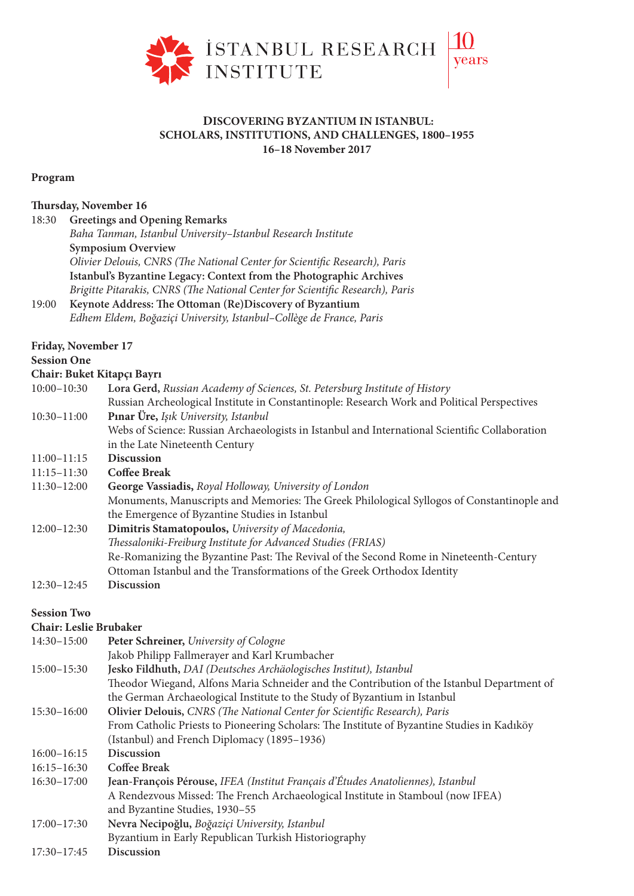

## **DISCOVERING BYZANTIUM IN ISTANBUL: SCHOLARS, INSTITUTIONS, AND CHALLENGES, 1800–1955 16–18 November 2017**

## **Program**

# **ursday, November 16**

| 18:30 | <b>Greetings and Opening Remarks</b>                                                                                                                                                                                                                                                                                                      |
|-------|-------------------------------------------------------------------------------------------------------------------------------------------------------------------------------------------------------------------------------------------------------------------------------------------------------------------------------------------|
|       | Baha Tanman, Istanbul University-Istanbul Research Institute                                                                                                                                                                                                                                                                              |
|       | <b>Symposium Overview</b>                                                                                                                                                                                                                                                                                                                 |
|       | Olivier Delouis, CNRS (The National Center for Scientific Research), Paris                                                                                                                                                                                                                                                                |
|       | Istanbul's Byzantine Legacy: Context from the Photographic Archives                                                                                                                                                                                                                                                                       |
|       | Brigitte Pitarakis, CNRS (The National Center for Scientific Research), Paris                                                                                                                                                                                                                                                             |
| 1000  | $\mathbf{v}$ , $\mathbf{v}$ , $\mathbf{v}$ , $\mathbf{v}$ , $\mathbf{v}$ , $\mathbf{v}$ , $\mathbf{v}$ , $\mathbf{v}$ , $\mathbf{v}$ , $\mathbf{v}$ , $\mathbf{v}$ , $\mathbf{v}$ , $\mathbf{v}$ , $\mathbf{v}$ , $\mathbf{v}$ , $\mathbf{v}$ , $\mathbf{v}$ , $\mathbf{v}$ , $\mathbf{v}$ , $\mathbf{v}$ , $\mathbf{v}$ , $\mathbf{v}$ , |

## 19:00 Keynote Address: The Ottoman (Re)Discovery of Byzantium *Edhem Eldem, Boğaziçi University, Istanbul–Collège de France, Paris*

# **Session One**

#### **Chair: Buket Kitapçı Bayrı**

| $10:00-10:30$ | Lora Gerd, Russian Academy of Sciences, St. Petersburg Institute of History                    |
|---------------|------------------------------------------------------------------------------------------------|
|               | Russian Archeological Institute in Constantinople: Research Work and Political Perspectives    |
| $10:30-11:00$ | <b>Pinar Üre, Isik University, Istanbul</b>                                                    |
|               | Webs of Science: Russian Archaeologists in Istanbul and International Scientific Collaboration |
|               | in the Late Nineteenth Century                                                                 |
| $11:00-11:15$ | <b>Discussion</b>                                                                              |

#### 11:15–11:30 **Coffee Break**

| $11:30-12:00$ | George Vassiadis, Royal Holloway, University of London                                     |
|---------------|--------------------------------------------------------------------------------------------|
|               | Monuments, Manuscripts and Memories: The Greek Philological Syllogos of Constantinople and |
|               | the Emergence of Byzantine Studies in Istanbul                                             |
| $12:00-12:30$ | Dimitris Stamatopoulos, University of Macedonia,                                           |
|               | Thessaloniki-Freiburg Institute for Advanced Studies (FRIAS)                               |
|               |                                                                                            |

- Re-Romanizing the Byzantine Past: The Revival of the Second Rome in Nineteenth-Century Ottoman Istanbul and the Transformations of the Greek Orthodox Identity
- 12:30–12:45 **Discussion**

## **Session Two**

## **Chair: Leslie Brubaker**

| $14:30-15:00$   | Peter Schreiner, University of Cologne                                                      |
|-----------------|---------------------------------------------------------------------------------------------|
|                 | Jakob Philipp Fallmerayer and Karl Krumbacher                                               |
| $15:00 - 15:30$ | Jesko Fildhuth, DAI (Deutsches Archäologisches Institut), Istanbul                          |
|                 | Theodor Wiegand, Alfons Maria Schneider and the Contribution of the Istanbul Department of  |
|                 | the German Archaeological Institute to the Study of Byzantium in Istanbul                   |
| $15:30-16:00$   | Olivier Delouis, CNRS (The National Center for Scientific Research), Paris                  |
|                 | From Catholic Priests to Pioneering Scholars: The Institute of Byzantine Studies in Kadıköy |
|                 | (Istanbul) and French Diplomacy (1895–1936)                                                 |
| $16:00 - 16:15$ | <b>Discussion</b>                                                                           |
| $16:15 - 16:30$ | <b>Coffee Break</b>                                                                         |
| $16:30-17:00$   | Jean-François Pérouse, IFEA (Institut Français d'Études Anatoliennes), Istanbul             |
|                 | A Rendezvous Missed: The French Archaeological Institute in Stamboul (now IFEA)             |
|                 | and Byzantine Studies, 1930-55                                                              |
| $17:00 - 17:30$ | Nevra Necipoğlu, Boğaziçi University, Istanbul                                              |
|                 | Byzantium in Early Republican Turkish Historiography                                        |
| $17:30 - 17:45$ | <b>Discussion</b>                                                                           |